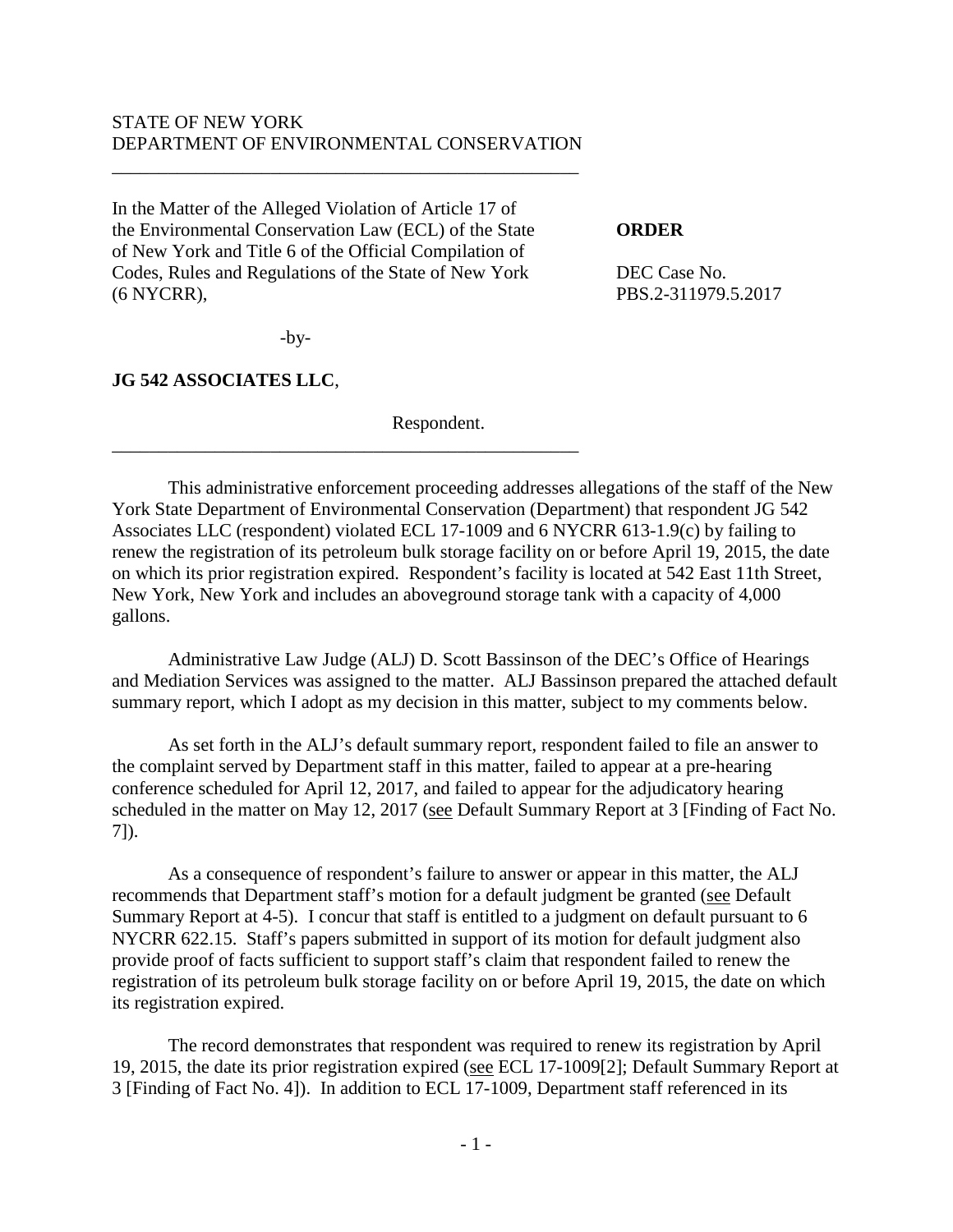## STATE OF NEW YORK DEPARTMENT OF ENVIRONMENTAL CONSERVATION

\_\_\_\_\_\_\_\_\_\_\_\_\_\_\_\_\_\_\_\_\_\_\_\_\_\_\_\_\_\_\_\_\_\_\_\_\_\_\_\_\_\_\_\_\_\_\_\_\_\_

\_\_\_\_\_\_\_\_\_\_\_\_\_\_\_\_\_\_\_\_\_\_\_\_\_\_\_\_\_\_\_\_\_\_\_\_\_\_\_\_\_\_\_\_\_\_\_\_\_\_

In the Matter of the Alleged Violation of Article 17 of the Environmental Conservation Law (ECL) of the State **ORDER** of New York and Title 6 of the Official Compilation of Codes, Rules and Regulations of the State of New York DEC Case No. (6 NYCRR), PBS.2-311979.5.2017

-by-

**JG 542 ASSOCIATES LLC**,

Respondent.

This administrative enforcement proceeding addresses allegations of the staff of the New York State Department of Environmental Conservation (Department) that respondent JG 542 Associates LLC (respondent) violated ECL 17-1009 and 6 NYCRR 613-1.9(c) by failing to renew the registration of its petroleum bulk storage facility on or before April 19, 2015, the date on which its prior registration expired. Respondent's facility is located at 542 East 11th Street, New York, New York and includes an aboveground storage tank with a capacity of 4,000 gallons.

Administrative Law Judge (ALJ) D. Scott Bassinson of the DEC's Office of Hearings and Mediation Services was assigned to the matter. ALJ Bassinson prepared the attached default summary report, which I adopt as my decision in this matter, subject to my comments below.

As set forth in the ALJ's default summary report, respondent failed to file an answer to the complaint served by Department staff in this matter, failed to appear at a pre-hearing conference scheduled for April 12, 2017, and failed to appear for the adjudicatory hearing scheduled in the matter on May 12, 2017 (see Default Summary Report at 3 [Finding of Fact No. 7]).

As a consequence of respondent's failure to answer or appear in this matter, the ALJ recommends that Department staff's motion for a default judgment be granted (see Default Summary Report at 4-5). I concur that staff is entitled to a judgment on default pursuant to 6 NYCRR 622.15. Staff's papers submitted in support of its motion for default judgment also provide proof of facts sufficient to support staff's claim that respondent failed to renew the registration of its petroleum bulk storage facility on or before April 19, 2015, the date on which its registration expired.

The record demonstrates that respondent was required to renew its registration by April 19, 2015, the date its prior registration expired (see ECL 17-1009[2]; Default Summary Report at 3 [Finding of Fact No. 4]). In addition to ECL 17-1009, Department staff referenced in its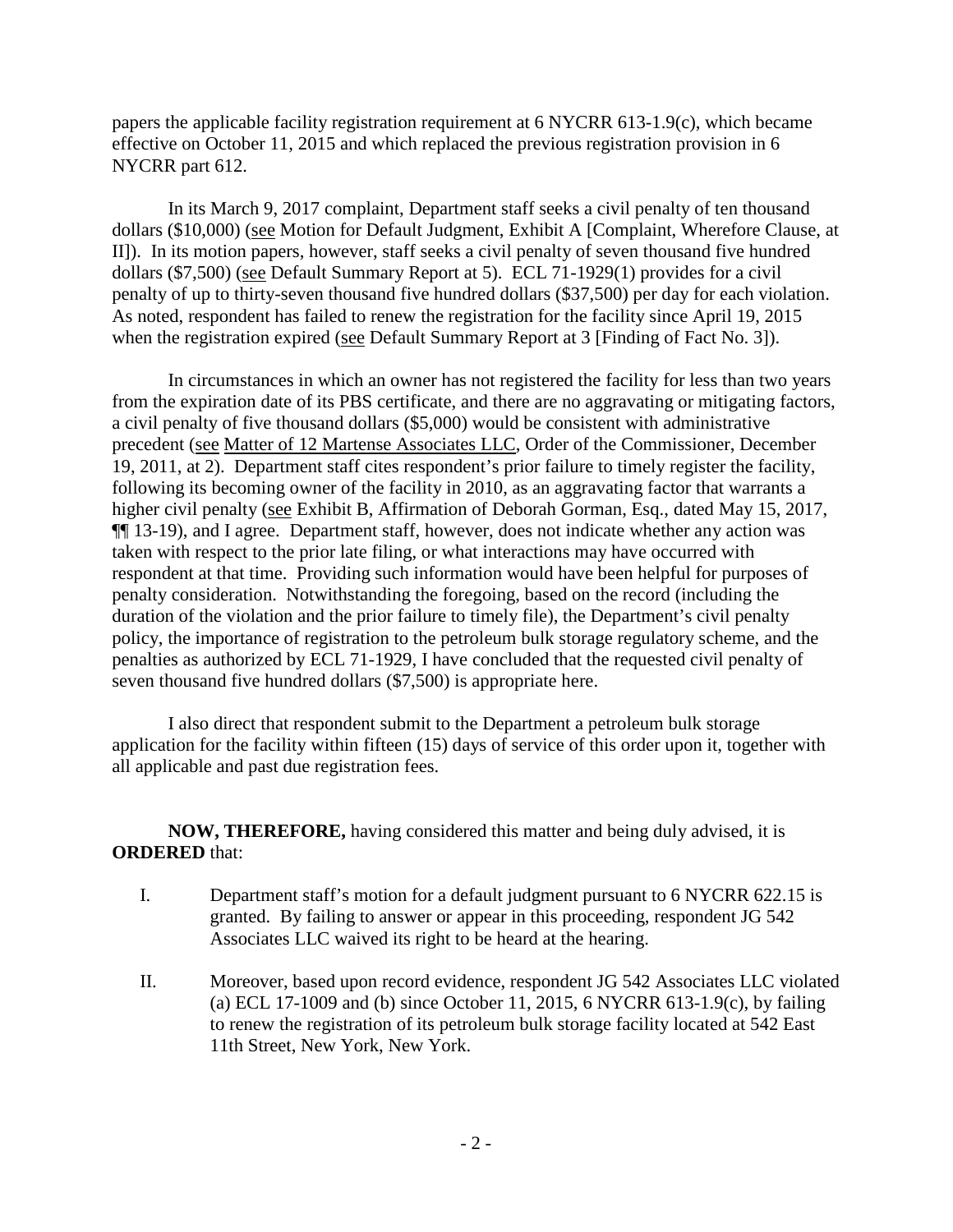papers the applicable facility registration requirement at 6 NYCRR 613-1.9(c), which became effective on October 11, 2015 and which replaced the previous registration provision in 6 NYCRR part 612.

In its March 9, 2017 complaint, Department staff seeks a civil penalty of ten thousand dollars (\$10,000) (see Motion for Default Judgment, Exhibit A [Complaint, Wherefore Clause, at II]). In its motion papers, however, staff seeks a civil penalty of seven thousand five hundred dollars (\$7,500) (see Default Summary Report at 5). ECL 71-1929(1) provides for a civil penalty of up to thirty-seven thousand five hundred dollars (\$37,500) per day for each violation. As noted, respondent has failed to renew the registration for the facility since April 19, 2015 when the registration expired (see Default Summary Report at 3 [Finding of Fact No. 3]).

In circumstances in which an owner has not registered the facility for less than two years from the expiration date of its PBS certificate, and there are no aggravating or mitigating factors, a civil penalty of five thousand dollars (\$5,000) would be consistent with administrative precedent (see Matter of 12 Martense Associates LLC, Order of the Commissioner, December 19, 2011, at 2). Department staff cites respondent's prior failure to timely register the facility, following its becoming owner of the facility in 2010, as an aggravating factor that warrants a higher civil penalty (see Exhibit B, Affirmation of Deborah Gorman, Esq., dated May 15, 2017, ¶¶ 13-19), and I agree. Department staff, however, does not indicate whether any action was taken with respect to the prior late filing, or what interactions may have occurred with respondent at that time. Providing such information would have been helpful for purposes of penalty consideration. Notwithstanding the foregoing, based on the record (including the duration of the violation and the prior failure to timely file), the Department's civil penalty policy, the importance of registration to the petroleum bulk storage regulatory scheme, and the penalties as authorized by ECL 71-1929, I have concluded that the requested civil penalty of seven thousand five hundred dollars (\$7,500) is appropriate here.

I also direct that respondent submit to the Department a petroleum bulk storage application for the facility within fifteen (15) days of service of this order upon it, together with all applicable and past due registration fees.

**NOW, THEREFORE,** having considered this matter and being duly advised, it is **ORDERED** that:

- I. Department staff's motion for a default judgment pursuant to 6 NYCRR 622.15 is granted. By failing to answer or appear in this proceeding, respondent JG 542 Associates LLC waived its right to be heard at the hearing.
- II. Moreover, based upon record evidence, respondent JG 542 Associates LLC violated (a) ECL 17-1009 and (b) since October 11, 2015, 6 NYCRR 613-1.9(c), by failing to renew the registration of its petroleum bulk storage facility located at 542 East 11th Street, New York, New York.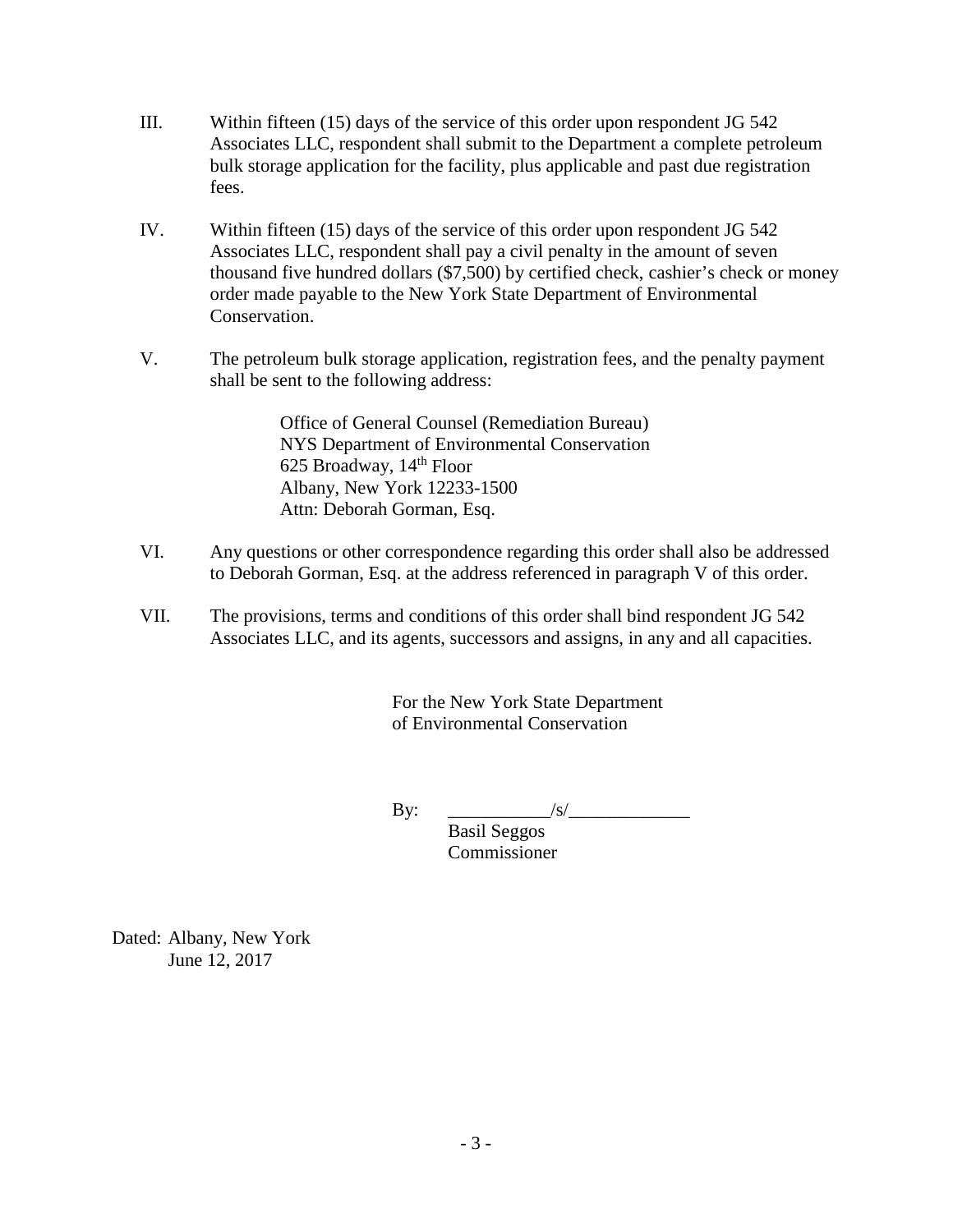- III. Within fifteen (15) days of the service of this order upon respondent JG 542 Associates LLC, respondent shall submit to the Department a complete petroleum bulk storage application for the facility, plus applicable and past due registration fees.
- IV. Within fifteen (15) days of the service of this order upon respondent JG 542 Associates LLC, respondent shall pay a civil penalty in the amount of seven thousand five hundred dollars (\$7,500) by certified check, cashier's check or money order made payable to the New York State Department of Environmental Conservation.
- V. The petroleum bulk storage application, registration fees, and the penalty payment shall be sent to the following address:

Office of General Counsel (Remediation Bureau) NYS Department of Environmental Conservation 625 Broadway,  $14<sup>th</sup>$  Floor Albany, New York 12233-1500 Attn: Deborah Gorman, Esq.

- VI. Any questions or other correspondence regarding this order shall also be addressed to Deborah Gorman, Esq. at the address referenced in paragraph V of this order.
- VII. The provisions, terms and conditions of this order shall bind respondent JG 542 Associates LLC, and its agents, successors and assigns, in any and all capacities.

For the New York State Department of Environmental Conservation

By:  $\qquad \qquad$   $\qquad \qquad$   $\qquad$   $\qquad \qquad$   $\qquad$   $\qquad$   $\qquad$   $\qquad$   $\qquad$   $\qquad$   $\qquad$   $\qquad$   $\qquad$   $\qquad$   $\qquad$   $\qquad$   $\qquad$   $\qquad$   $\qquad$   $\qquad$   $\qquad$   $\qquad$   $\qquad$   $\qquad$   $\qquad$   $\qquad$   $\qquad$   $\qquad$   $\qquad$   $\qquad$   $\qquad$   $\qquad$   $\qquad$   $\qquad$   $\qquad$ 

Basil Seggos Commissioner

Dated: Albany, New York June 12, 2017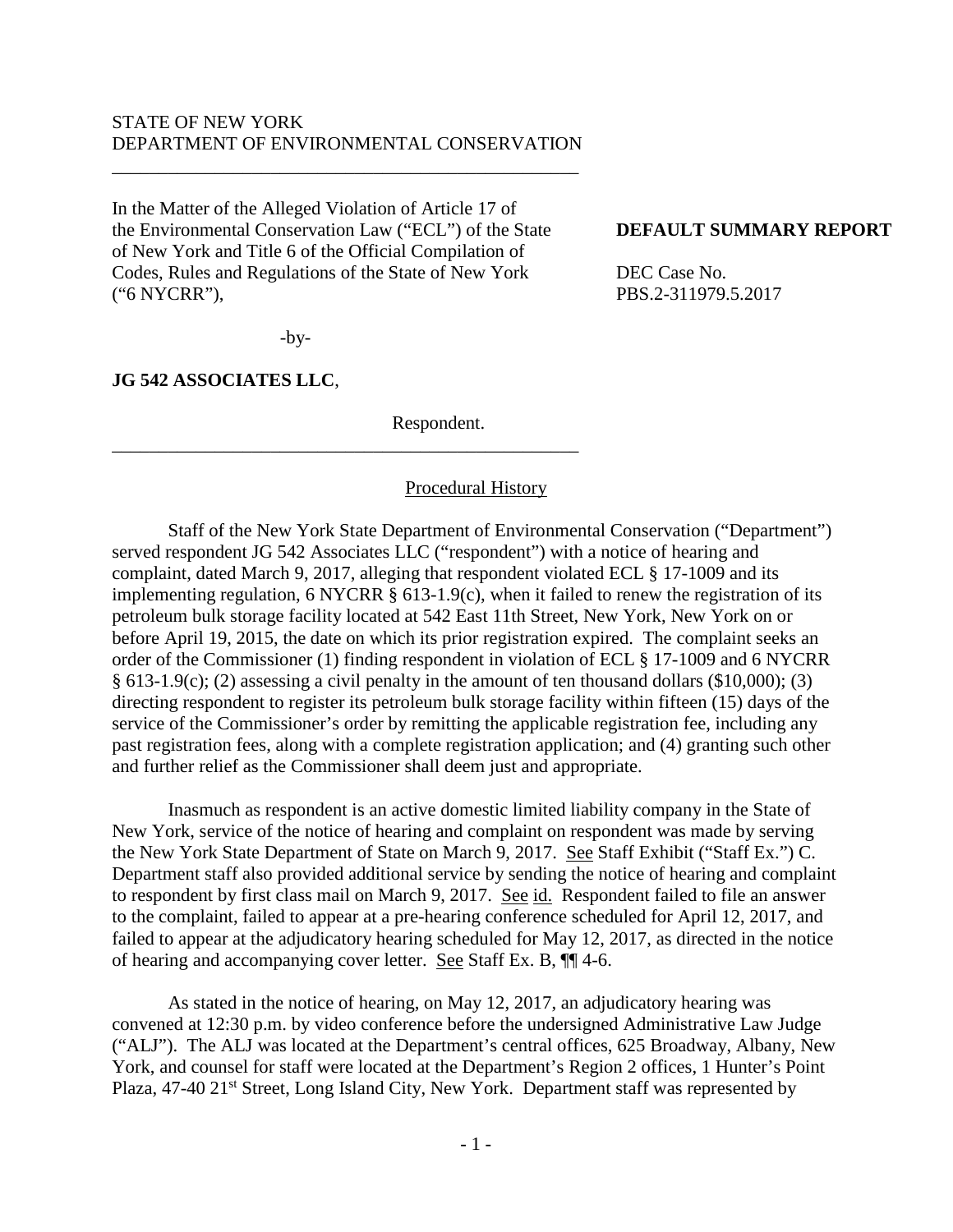## STATE OF NEW YORK DEPARTMENT OF ENVIRONMENTAL CONSERVATION

\_\_\_\_\_\_\_\_\_\_\_\_\_\_\_\_\_\_\_\_\_\_\_\_\_\_\_\_\_\_\_\_\_\_\_\_\_\_\_\_\_\_\_\_\_\_\_\_\_\_

In the Matter of the Alleged Violation of Article 17 of the Environmental Conservation Law ("ECL") of the State **DEFAULT SUMMARY REPORT** of New York and Title 6 of the Official Compilation of Codes, Rules and Regulations of the State of New York DEC Case No. ("6 NYCRR"), PBS.2-311979.5.2017

\_\_\_\_\_\_\_\_\_\_\_\_\_\_\_\_\_\_\_\_\_\_\_\_\_\_\_\_\_\_\_\_\_\_\_\_\_\_\_\_\_\_\_\_\_\_\_\_\_\_

-by-

**JG 542 ASSOCIATES LLC**,

Respondent.

## Procedural History

Staff of the New York State Department of Environmental Conservation ("Department") served respondent JG 542 Associates LLC ("respondent") with a notice of hearing and complaint, dated March 9, 2017, alleging that respondent violated ECL § 17-1009 and its implementing regulation, 6 NYCRR § 613-1.9(c), when it failed to renew the registration of its petroleum bulk storage facility located at 542 East 11th Street, New York, New York on or before April 19, 2015, the date on which its prior registration expired. The complaint seeks an order of the Commissioner (1) finding respondent in violation of ECL § 17-1009 and 6 NYCRR § 613-1.9(c); (2) assessing a civil penalty in the amount of ten thousand dollars (\$10,000); (3) directing respondent to register its petroleum bulk storage facility within fifteen (15) days of the service of the Commissioner's order by remitting the applicable registration fee, including any past registration fees, along with a complete registration application; and (4) granting such other and further relief as the Commissioner shall deem just and appropriate.

Inasmuch as respondent is an active domestic limited liability company in the State of New York, service of the notice of hearing and complaint on respondent was made by serving the New York State Department of State on March 9, 2017. See Staff Exhibit ("Staff Ex.") C. Department staff also provided additional service by sending the notice of hearing and complaint to respondent by first class mail on March 9, 2017. See id. Respondent failed to file an answer to the complaint, failed to appear at a pre-hearing conference scheduled for April 12, 2017, and failed to appear at the adjudicatory hearing scheduled for May 12, 2017, as directed in the notice of hearing and accompanying cover letter. See Staff Ex. B, ¶¶ 4-6.

As stated in the notice of hearing, on May 12, 2017, an adjudicatory hearing was convened at 12:30 p.m. by video conference before the undersigned Administrative Law Judge ("ALJ"). The ALJ was located at the Department's central offices, 625 Broadway, Albany, New York, and counsel for staff were located at the Department's Region 2 offices, 1 Hunter's Point Plaza, 47-40 21<sup>st</sup> Street, Long Island City, New York. Department staff was represented by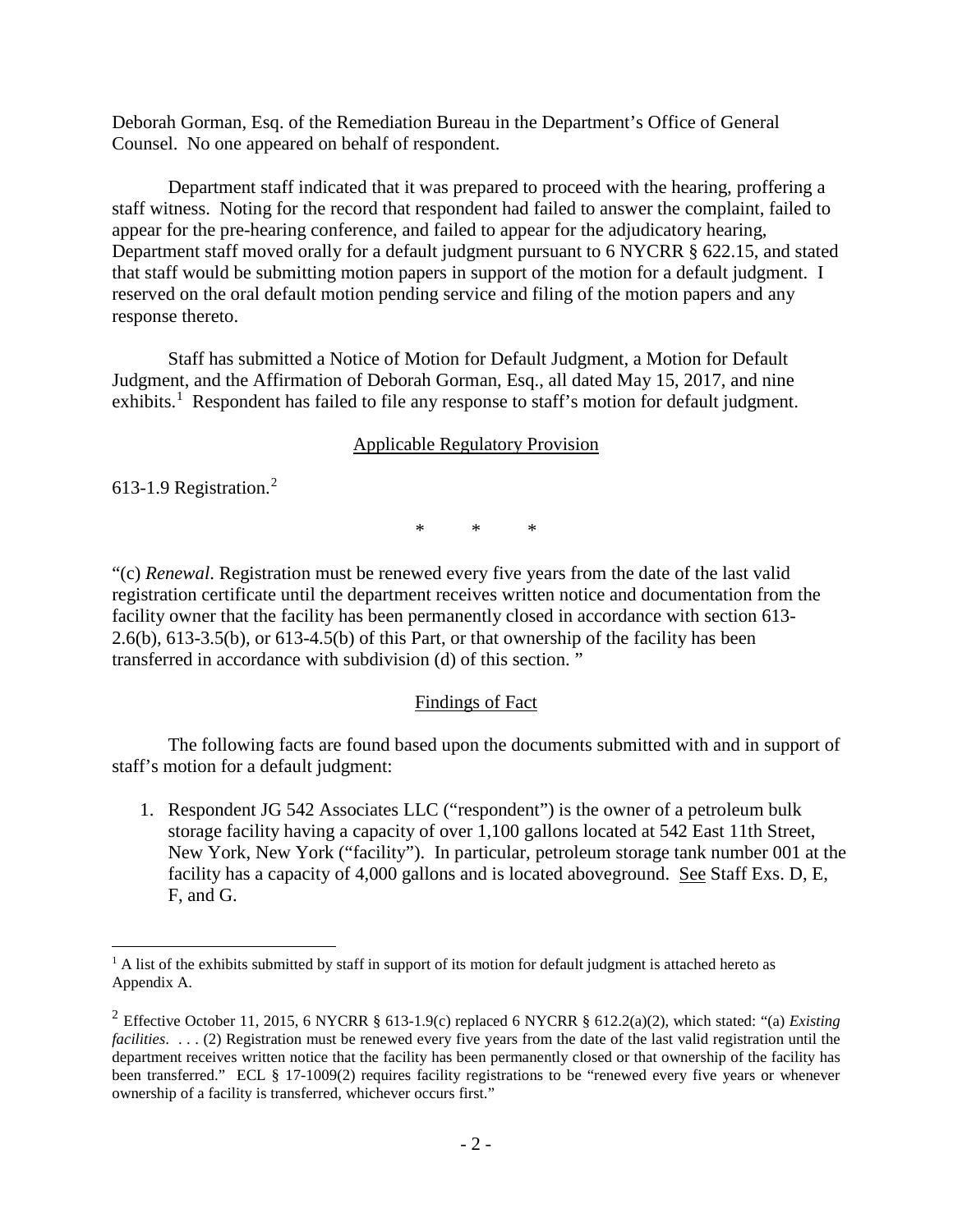Deborah Gorman, Esq. of the Remediation Bureau in the Department's Office of General Counsel. No one appeared on behalf of respondent.

Department staff indicated that it was prepared to proceed with the hearing, proffering a staff witness. Noting for the record that respondent had failed to answer the complaint, failed to appear for the pre-hearing conference, and failed to appear for the adjudicatory hearing, Department staff moved orally for a default judgment pursuant to 6 NYCRR § 622.15, and stated that staff would be submitting motion papers in support of the motion for a default judgment. I reserved on the oral default motion pending service and filing of the motion papers and any response thereto.

Staff has submitted a Notice of Motion for Default Judgment, a Motion for Default Judgment, and the Affirmation of Deborah Gorman, Esq., all dated May 15, 2017, and nine exhibits.<sup>[1](#page-4-0)</sup> Respondent has failed to file any response to staff's motion for default judgment.

## Applicable Regulatory Provision

613-1.9 Registration. [2](#page-4-1)

\* \* \*

"(c) *Renewal*. Registration must be renewed every five years from the date of the last valid registration certificate until the department receives written notice and documentation from the facility owner that the facility has been permanently closed in accordance with section 613- 2.6(b), 613-3.5(b), or 613-4.5(b) of this Part, or that ownership of the facility has been transferred in accordance with subdivision (d) of this section. "

## Findings of Fact

The following facts are found based upon the documents submitted with and in support of staff's motion for a default judgment:

1. Respondent JG 542 Associates LLC ("respondent") is the owner of a petroleum bulk storage facility having a capacity of over 1,100 gallons located at 542 East 11th Street, New York, New York ("facility"). In particular, petroleum storage tank number 001 at the facility has a capacity of 4,000 gallons and is located aboveground. See Staff Exs. D, E, F, and G.

<span id="page-4-0"></span> $<sup>1</sup>$  A list of the exhibits submitted by staff in support of its motion for default judgment is attached hereto as</sup> Appendix A.  $\overline{a}$ 

<span id="page-4-1"></span><sup>2</sup> Effective October 11, 2015, 6 NYCRR § 613-1.9(c) replaced 6 NYCRR § 612.2(a)(2), which stated: "(a) *Existing facilities*. . . . (2) Registration must be renewed every five years from the date of the last valid registration until the department receives written notice that the facility has been permanently closed or that ownership of the facility has been transferred." ECL § 17-1009(2) requires facility registrations to be "renewed every five years or whenever ownership of a facility is transferred, whichever occurs first."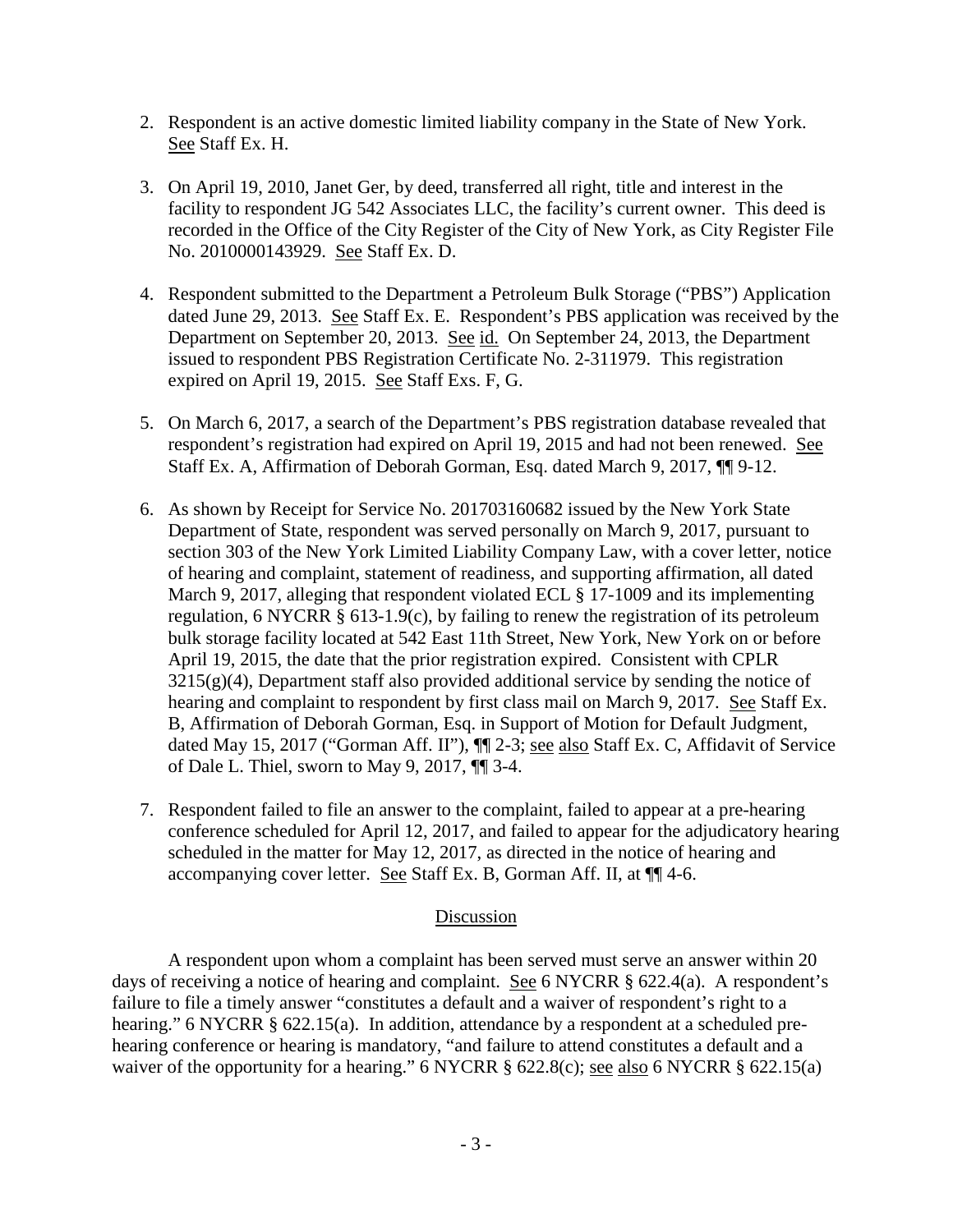- 2. Respondent is an active domestic limited liability company in the State of New York. See Staff Ex. H.
- 3. On April 19, 2010, Janet Ger, by deed, transferred all right, title and interest in the facility to respondent JG 542 Associates LLC, the facility's current owner. This deed is recorded in the Office of the City Register of the City of New York, as City Register File No. 2010000143929. See Staff Ex. D.
- 4. Respondent submitted to the Department a Petroleum Bulk Storage ("PBS") Application dated June 29, 2013. See Staff Ex. E. Respondent's PBS application was received by the Department on September 20, 2013. See id. On September 24, 2013, the Department issued to respondent PBS Registration Certificate No. 2-311979. This registration expired on April 19, 2015. See Staff Exs. F, G.
- 5. On March 6, 2017, a search of the Department's PBS registration database revealed that respondent's registration had expired on April 19, 2015 and had not been renewed. See Staff Ex. A, Affirmation of Deborah Gorman, Esq. dated March 9, 2017, ¶¶ 9-12.
- 6. As shown by Receipt for Service No. 201703160682 issued by the New York State Department of State, respondent was served personally on March 9, 2017, pursuant to section 303 of the New York Limited Liability Company Law, with a cover letter, notice of hearing and complaint, statement of readiness, and supporting affirmation, all dated March 9, 2017, alleging that respondent violated ECL § 17-1009 and its implementing regulation, 6 NYCRR § 613-1.9(c), by failing to renew the registration of its petroleum bulk storage facility located at 542 East 11th Street, New York, New York on or before April 19, 2015, the date that the prior registration expired. Consistent with CPLR  $3215(g)(4)$ , Department staff also provided additional service by sending the notice of hearing and complaint to respondent by first class mail on March 9, 2017. See Staff Ex. B, Affirmation of Deborah Gorman, Esq. in Support of Motion for Default Judgment, dated May 15, 2017 ("Gorman Aff. II"),  $\P$ [2-3; see also Staff Ex. C, Affidavit of Service of Dale L. Thiel, sworn to May 9, 2017, ¶¶ 3-4.
- 7. Respondent failed to file an answer to the complaint, failed to appear at a pre-hearing conference scheduled for April 12, 2017, and failed to appear for the adjudicatory hearing scheduled in the matter for May 12, 2017, as directed in the notice of hearing and accompanying cover letter. See Staff Ex. B, Gorman Aff. II, at ¶¶ 4-6.

## Discussion

A respondent upon whom a complaint has been served must serve an answer within 20 days of receiving a notice of hearing and complaint. See 6 NYCRR § 622.4(a). A respondent's failure to file a timely answer "constitutes a default and a waiver of respondent's right to a hearing." 6 NYCRR § 622.15(a). In addition, attendance by a respondent at a scheduled prehearing conference or hearing is mandatory, "and failure to attend constitutes a default and a waiver of the opportunity for a hearing." 6 NYCRR § 622.8(c); <u>see also</u> 6 NYCRR § 622.15(a)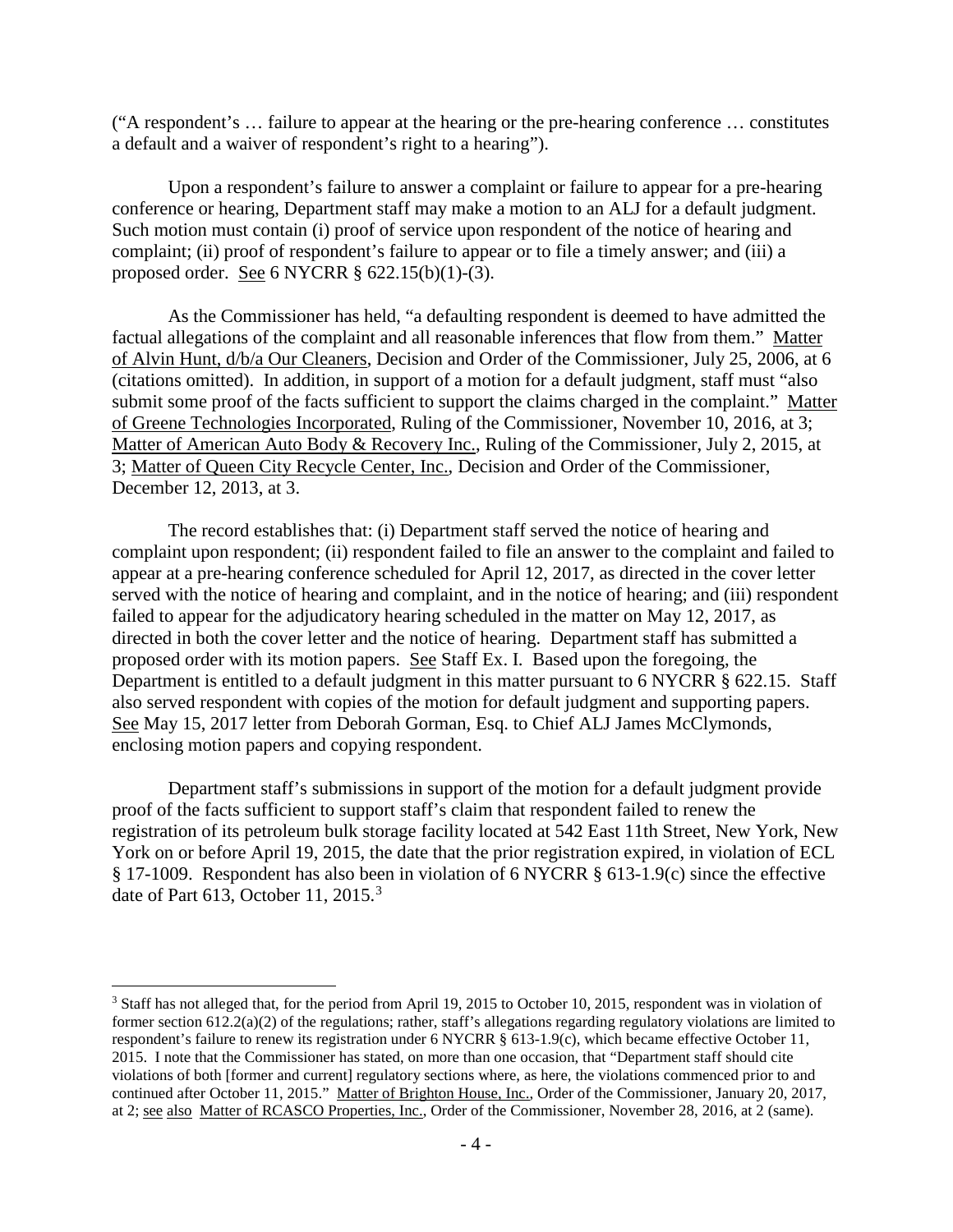("A respondent's … failure to appear at the hearing or the pre-hearing conference … constitutes a default and a waiver of respondent's right to a hearing").

Upon a respondent's failure to answer a complaint or failure to appear for a pre-hearing conference or hearing, Department staff may make a motion to an ALJ for a default judgment. Such motion must contain (i) proof of service upon respondent of the notice of hearing and complaint; (ii) proof of respondent's failure to appear or to file a timely answer; and (iii) a proposed order. See 6 NYCRR § 622.15(b)(1)-(3).

As the Commissioner has held, "a defaulting respondent is deemed to have admitted the factual allegations of the complaint and all reasonable inferences that flow from them." Matter of Alvin Hunt, d/b/a Our Cleaners, Decision and Order of the Commissioner, July 25, 2006, at 6 (citations omitted). In addition, in support of a motion for a default judgment, staff must "also submit some proof of the facts sufficient to support the claims charged in the complaint." Matter of Greene Technologies Incorporated, Ruling of the Commissioner, November 10, 2016, at 3; Matter of American Auto Body & Recovery Inc., Ruling of the Commissioner, July 2, 2015, at 3; Matter of Queen City Recycle Center, Inc., Decision and Order of the Commissioner, December 12, 2013, at 3.

The record establishes that: (i) Department staff served the notice of hearing and complaint upon respondent; (ii) respondent failed to file an answer to the complaint and failed to appear at a pre-hearing conference scheduled for April 12, 2017, as directed in the cover letter served with the notice of hearing and complaint, and in the notice of hearing; and (iii) respondent failed to appear for the adjudicatory hearing scheduled in the matter on May 12, 2017, as directed in both the cover letter and the notice of hearing. Department staff has submitted a proposed order with its motion papers. See Staff Ex. I. Based upon the foregoing, the Department is entitled to a default judgment in this matter pursuant to 6 NYCRR § 622.15. Staff also served respondent with copies of the motion for default judgment and supporting papers. See May 15, 2017 letter from Deborah Gorman, Esq. to Chief ALJ James McClymonds, enclosing motion papers and copying respondent.

Department staff's submissions in support of the motion for a default judgment provide proof of the facts sufficient to support staff's claim that respondent failed to renew the registration of its petroleum bulk storage facility located at 542 East 11th Street, New York, New York on or before April 19, 2015, the date that the prior registration expired, in violation of ECL § 17-1009. Respondent has also been in violation of 6 NYCRR § 613-1.9(c) since the effective date of Part 61[3](#page-6-0), October 11, 2015. $3$ 

<span id="page-6-0"></span><sup>&</sup>lt;sup>3</sup> Staff has not alleged that, for the period from April 19, 2015 to October 10, 2015, respondent was in violation of former section 612.2(a)(2) of the regulations; rather, staff's allegations regarding regulatory violations are limited to respondent's failure to renew its registration under 6 NYCRR § 613-1.9(c), which became effective October 11, 2015. I note that the Commissioner has stated, on more than one occasion, that "Department staff should cite violations of both [former and current] regulatory sections where, as here, the violations commenced prior to and continued after October 11, 2015." Matter of Brighton House, Inc., Order of the Commissioner, January 20, 2017, at 2; see also Matter of RCASCO Properties, Inc., Order of the Commissioner, November 28, 2016, at 2 (same).  $\overline{a}$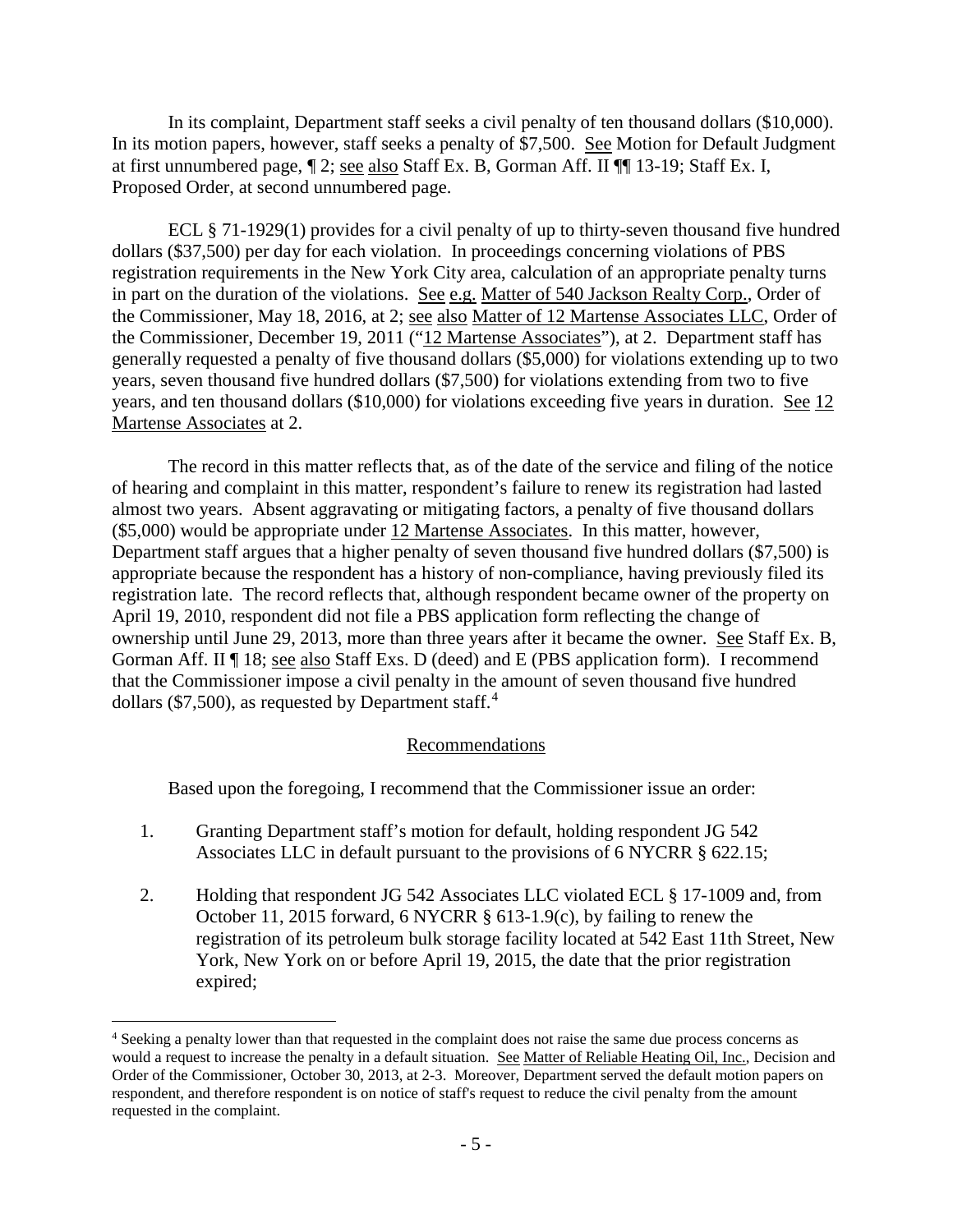In its complaint, Department staff seeks a civil penalty of ten thousand dollars (\$10,000). In its motion papers, however, staff seeks a penalty of \$7,500. See Motion for Default Judgment at first unnumbered page, ¶ 2; see also Staff Ex. B, Gorman Aff. II ¶¶ 13-19; Staff Ex. I, Proposed Order, at second unnumbered page.

ECL § 71-1929(1) provides for a civil penalty of up to thirty-seven thousand five hundred dollars (\$37,500) per day for each violation. In proceedings concerning violations of PBS registration requirements in the New York City area, calculation of an appropriate penalty turns in part on the duration of the violations. See e.g. Matter of 540 Jackson Realty Corp., Order of the Commissioner, May 18, 2016, at 2; see also Matter of 12 Martense Associates LLC, Order of the Commissioner, December 19, 2011 ("12 Martense Associates"), at 2. Department staff has generally requested a penalty of five thousand dollars (\$5,000) for violations extending up to two years, seven thousand five hundred dollars (\$7,500) for violations extending from two to five years, and ten thousand dollars (\$10,000) for violations exceeding five years in duration. See 12 Martense Associates at 2.

The record in this matter reflects that, as of the date of the service and filing of the notice of hearing and complaint in this matter, respondent's failure to renew its registration had lasted almost two years. Absent aggravating or mitigating factors, a penalty of five thousand dollars (\$5,000) would be appropriate under 12 Martense Associates. In this matter, however, Department staff argues that a higher penalty of seven thousand five hundred dollars (\$7,500) is appropriate because the respondent has a history of non-compliance, having previously filed its registration late. The record reflects that, although respondent became owner of the property on April 19, 2010, respondent did not file a PBS application form reflecting the change of ownership until June 29, 2013, more than three years after it became the owner. See Staff Ex. B, Gorman Aff. II ¶ 18; see also Staff Exs. D (deed) and E (PBS application form). I recommend that the Commissioner impose a civil penalty in the amount of seven thousand five hundred dollars (\$7,500), as requested by Department staff.<sup>[4](#page-7-0)</sup>

#### Recommendations

Based upon the foregoing, I recommend that the Commissioner issue an order:

- 1. Granting Department staff's motion for default, holding respondent JG 542 Associates LLC in default pursuant to the provisions of 6 NYCRR § 622.15;
- 2. Holding that respondent JG 542 Associates LLC violated ECL § 17-1009 and, from October 11, 2015 forward, 6 NYCRR § 613-1.9(c), by failing to renew the registration of its petroleum bulk storage facility located at 542 East 11th Street, New York, New York on or before April 19, 2015, the date that the prior registration expired;

 $\overline{a}$ 

<span id="page-7-0"></span><sup>4</sup> Seeking a penalty lower than that requested in the complaint does not raise the same due process concerns as would a request to increase the penalty in a default situation. See Matter of Reliable Heating Oil, Inc., Decision and Order of the Commissioner, October 30, 2013, at 2-3. Moreover, Department served the default motion papers on respondent, and therefore respondent is on notice of staff's request to reduce the civil penalty from the amount requested in the complaint.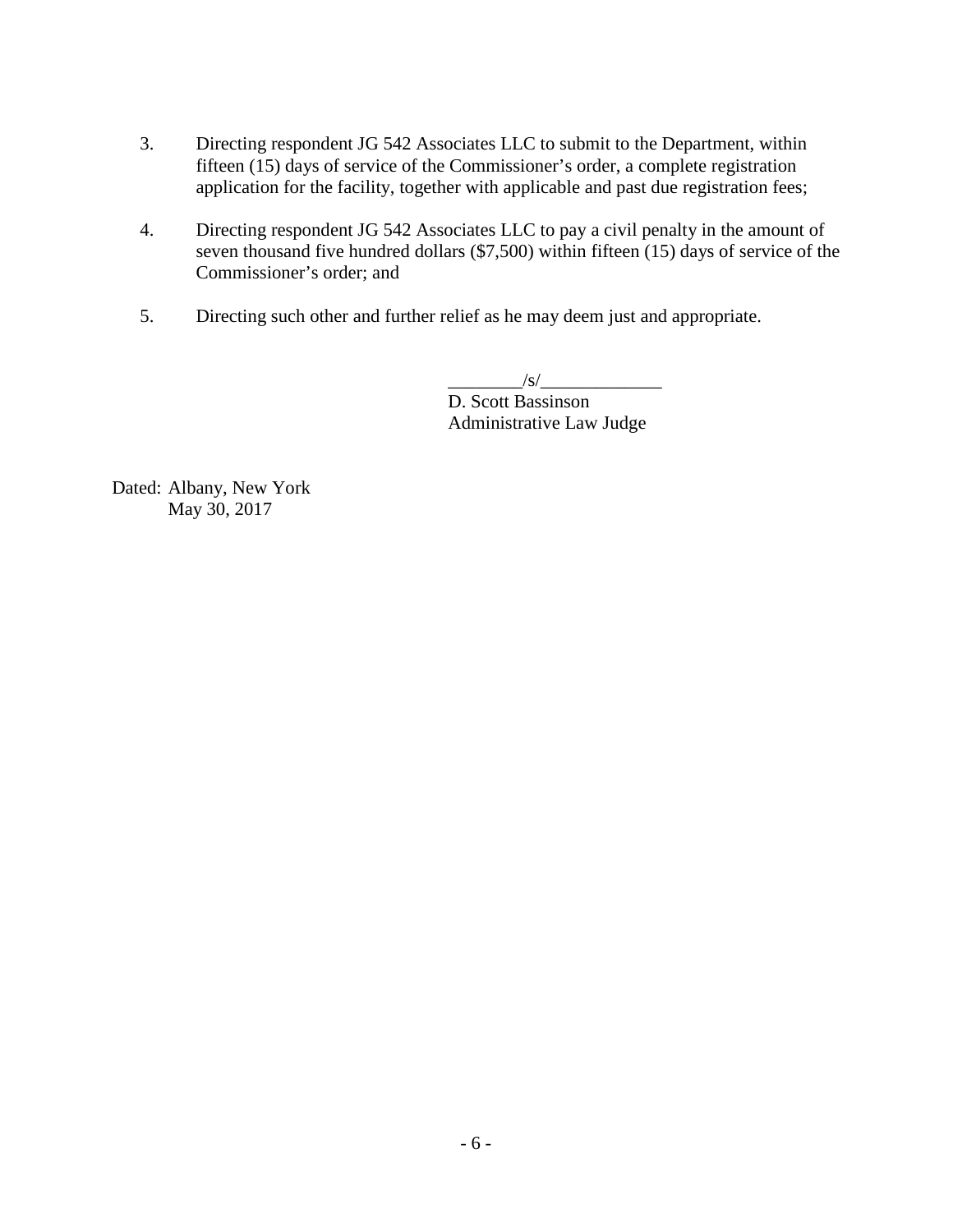- 3. Directing respondent JG 542 Associates LLC to submit to the Department, within fifteen (15) days of service of the Commissioner's order, a complete registration application for the facility, together with applicable and past due registration fees;
- 4. Directing respondent JG 542 Associates LLC to pay a civil penalty in the amount of seven thousand five hundred dollars (\$7,500) within fifteen (15) days of service of the Commissioner's order; and
- 5. Directing such other and further relief as he may deem just and appropriate.

 $\frac{1}{s}$ D. Scott Bassinson Administrative Law Judge

Dated: Albany, New York May 30, 2017